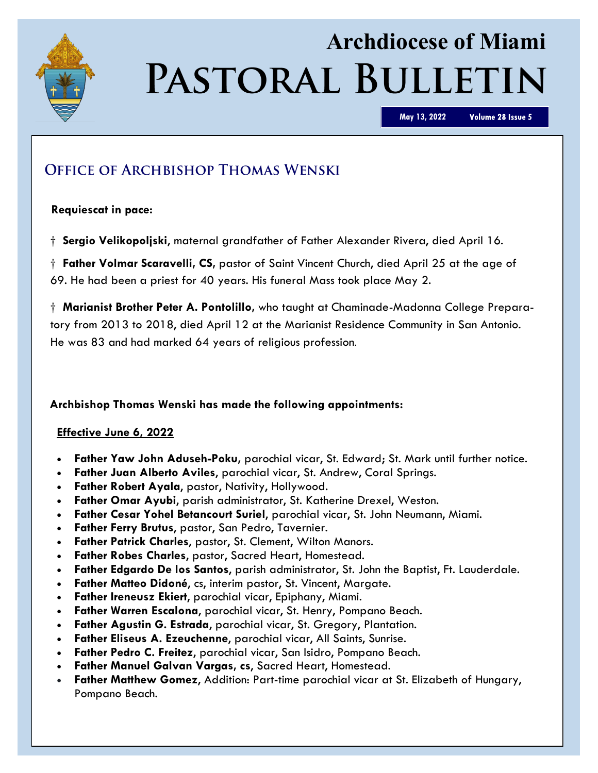

# **Archdiocese of Miami** PASTORAL BULLETIN

**May 13, 2022**

Volume 28 Issue 5

# **OFFICE OF ARCHBISHOP THOMAS WENSKI**

### **Requiescat in pace:**

† **Sergio Velikopoljski**, maternal grandfather of Father Alexander Rivera, died April 16.

† **Father Volmar Scaravelli, CS,** pastor of Saint Vincent Church, died April 25 at the age of 69. He had been a priest for 40 years. His funeral Mass took place May 2.

† **Marianist Brother Peter A. Pontolillo,** who taught at Chaminade-Madonna College Preparatory from 2013 to 2018, died April 12 at the Marianist Residence Community in San Antonio. He was 83 and had marked 64 years of religious profession.

### **Archbishop Thomas Wenski has made the following appointments:**

### **Effective June 6, 2022**

- **Father Yaw John Aduseh-Poku,** parochial vicar, St. Edward; St. Mark until further notice.
- **Father Juan Alberto Aviles**, parochial vicar, St. Andrew, Coral Springs.
- **Father Robert Ayala**, pastor, Nativity, Hollywood.
- **Father Omar Ayubi**, parish administrator, St. Katherine Drexel, Weston.
- **Father Cesar Yohel Betancourt Suriel**, parochial vicar, St. John Neumann, Miami.
- **Father Ferry Brutus**, pastor, San Pedro, Tavernier.
- **Father Patrick Charles**, pastor, St. Clement, Wilton Manors.
- **Father Robes Charles**, pastor, Sacred Heart, Homestead.
- **Father Edgardo De los Santos**, parish administrator, St. John the Baptist, Ft. Lauderdale.
- **Father Matteo Didoné**, cs, interim pastor, St. Vincent, Margate.
- **Father Ireneusz Ekiert**, parochial vicar, Epiphany, Miami.
- **Father Warren Escalona**, parochial vicar, St. Henry, Pompano Beach.
- **Father Agustin G. Estrada**, parochial vicar, St. Gregory, Plantation.
- **Father Eliseus A. Ezeuchenne**, parochial vicar, All Saints, Sunrise.
- **Father Pedro C. Freitez**, parochial vicar, San Isidro, Pompano Beach.
- **Father Manuel Galvan Vargas, cs**, Sacred Heart, Homestead.
- **Father Matthew Gomez**, Addition: Part-time parochial vicar at St. Elizabeth of Hungary, Pompano Beach.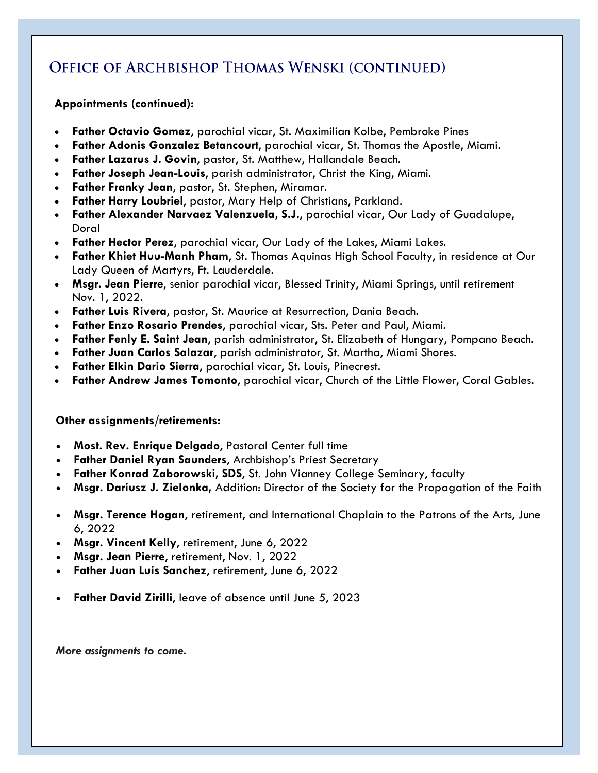## **OFFICE OF ARCHBISHOP THOMAS WENSKI (CONTINUED)**

### **Appointments (continued):**

- **Father Octavio Gomez**, parochial vicar, St. Maximilian Kolbe, Pembroke Pines
- **Father Adonis Gonzalez Betancourt**, parochial vicar, St. Thomas the Apostle, Miami.
- **Father Lazarus J. Govin**, pastor, St. Matthew, Hallandale Beach.
- **Father Joseph Jean-Louis**, parish administrator, Christ the King, Miami.
- **Father Franky Jean**, pastor, St. Stephen, Miramar.
- **Father Harry Loubriel**, pastor, Mary Help of Christians, Parkland.
- **Father Alexander Narvaez Valenzuela, S.J.**, parochial vicar, Our Lady of Guadalupe, Doral
- **Father Hector Perez**, parochial vicar, Our Lady of the Lakes, Miami Lakes.
- **Father Khiet Huu-Manh Pham**, St. Thomas Aquinas High School Faculty, in residence at Our Lady Queen of Martyrs, Ft. Lauderdale.
- **Msgr. Jean Pierre**, senior parochial vicar, Blessed Trinity, Miami Springs, until retirement Nov. 1, 2022.
- **Father Luis Rivera**, pastor, St. Maurice at Resurrection, Dania Beach.
- **Father Enzo Rosario Prendes**, parochial vicar, Sts. Peter and Paul, Miami.
- **Father Fenly E. Saint Jean**, parish administrator, St. Elizabeth of Hungary, Pompano Beach.
- **Father Juan Carlos Salazar**, parish administrator, St. Martha, Miami Shores.
- **Father Elkin Dario Sierra**, parochial vicar, St. Louis, Pinecrest.
- **Father Andrew James Tomonto**, parochial vicar, Church of the Little Flower, Coral Gables.

### **Other assignments/retirements:**

- **Most. Rev. Enrique Delgado**, Pastoral Center full time
- **Father Daniel Ryan Saunders**, Archbishop's Priest Secretary
- **Father Konrad Zaborowski, SDS**, St. John Vianney College Seminary, faculty
- **Msgr. Dariusz J. Zielonka,** Addition: Director of the Society for the Propagation of the Faith
- **Msgr. Terence Hogan**, retirement, and International Chaplain to the Patrons of the Arts, June 6, 2022
- **Msgr. Vincent Kelly**, retirement, June 6, 2022
- **Msgr. Jean Pierre**, retirement, Nov. 1, 2022
- **Father Juan Luis Sanchez**, retirement, June 6, 2022
- **Father David Zirilli, leave of absence until June 5, 2023**

*More assignments to come.*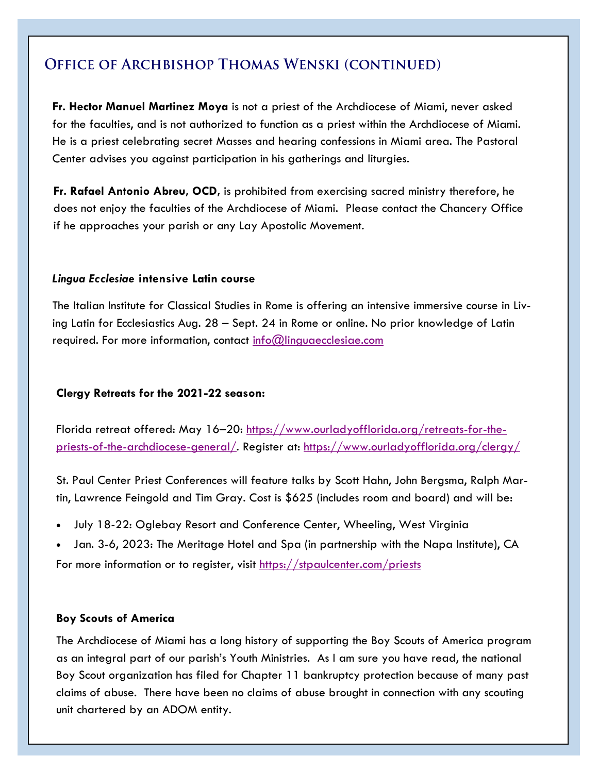### **OFFICE OF ARCHBISHOP THOMAS WENSKI (CONTINUED)**

**Fr. Hector Manuel Martinez Moya** is not a priest of the Archdiocese of Miami, never asked for the faculties, and is not authorized to function as a priest within the Archdiocese of Miami. He is a priest celebrating secret Masses and hearing confessions in Miami area. The Pastoral Center advises you against participation in his gatherings and liturgies.

**Fr. Rafael Antonio Abreu, OCD,** is prohibited from exercising sacred ministry therefore, he does not enjoy the faculties of the Archdiocese of Miami. Please contact the Chancery Office if he approaches your parish or any Lay Apostolic Movement.

#### *Lingua Ecclesiae* **intensive Latin course**

The Italian Institute for Classical Studies in Rome is offering an intensive immersive course in Living Latin for Ecclesiastics Aug. 28 – Sept. 24 in Rome or online. No prior knowledge of Latin required. For more information, contact [info@linguaecclesiae.com](mailto:info@linguaecclesiae.com)

### **Clergy Retreats for the 2021-22 season:**

Florida retreat offered: May 16–20: [https://www.ourladyofflorida.org/retreats-for-the](https://www.ourladyofflorida.org/retreats-for-the-priests-of-the-archdiocese-general/)[priests-of-the-archdiocese-general/.](https://www.ourladyofflorida.org/retreats-for-the-priests-of-the-archdiocese-general/) Register at: <https://www.ourladyofflorida.org/clergy/>

St. Paul Center Priest Conferences will feature talks by Scott Hahn, John Bergsma, Ralph Martin, Lawrence Feingold and Tim Gray. Cost is \$625 (includes room and board) and will be:

- July 18-22: Oglebay Resort and Conference Center, Wheeling, West Virginia
- Jan. 3-6, 2023: The Meritage Hotel and Spa (in partnership with the Napa Institute), CA

For more information or to register, visit <https://stpaulcenter.com/priests>

### **Boy Scouts of America**

The Archdiocese of Miami has a long history of supporting the Boy Scouts of America program as an integral part of our parish's Youth Ministries. As I am sure you have read, the national Boy Scout organization has filed for Chapter 11 bankruptcy protection because of many past claims of abuse. There have been no claims of abuse brought in connection with any scouting unit chartered by an ADOM entity.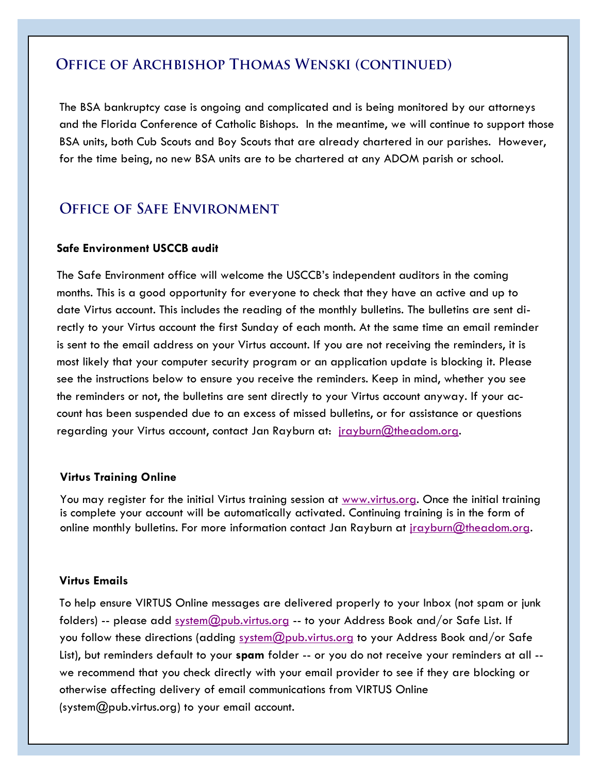### **OFFICE OF ARCHBISHOP THOMAS WENSKI (CONTINUED)**

The BSA bankruptcy case is ongoing and complicated and is being monitored by our attorneys and the Florida Conference of Catholic Bishops. In the meantime, we will continue to support those BSA units, both Cub Scouts and Boy Scouts that are already chartered in our parishes. However, for the time being, no new BSA units are to be chartered at any ADOM parish or school.

### **OFFICE OF SAFE ENVIRONMENT**

#### **Safe Environment USCCB audit**

The Safe Environment office will welcome the USCCB's independent auditors in the coming months. This is a good opportunity for everyone to check that they have an active and up to date Virtus account. This includes the reading of the monthly bulletins. The bulletins are sent directly to your Virtus account the first Sunday of each month. At the same time an email reminder is sent to the email address on your Virtus account. If you are not receiving the reminders, it is most likely that your computer security program or an application update is blocking it. Please see the instructions below to ensure you receive the reminders. Keep in mind, whether you see the reminders or not, the bulletins are sent directly to your Virtus account anyway. If your account has been suspended due to an excess of missed bulletins, or for assistance or questions regarding your Virtus account, contact Jan Rayburn at: [jrayburn@theadom.org.](mailto:jrayburn@theadom.org)

#### **Virtus Training Online**

You may register for the initial Virtus training session at [www.virtus.org.](http://www.virtus.org) Once the initial training is complete your account will be automatically activated. Continuing training is in the form of online monthly bulletins. For more information contact Jan Rayburn at [jrayburn@theadom.org.](mailto:jrayburn@theadom.org)

#### **Virtus Emails**

To help ensure VIRTUS Online messages are delivered properly to your Inbox (not spam or junk folders) -- please add [system@pub.virtus.org](mailto:system@pub.virtus.org) -- to your Address Book and/or Safe List. If you follow these directions (adding [system@pub.virtus.org](mailto:system@pub.virtus.org) to your Address Book and/or Safe List), but reminders default to your **spam** folder -- or you do not receive your reminders at all - we recommend that you check directly with your email provider to see if they are blocking or otherwise affecting delivery of email communications from VIRTUS Online [\(system@pub.virtus.org\)](mailto:system@pub.virtus.org) to your email account.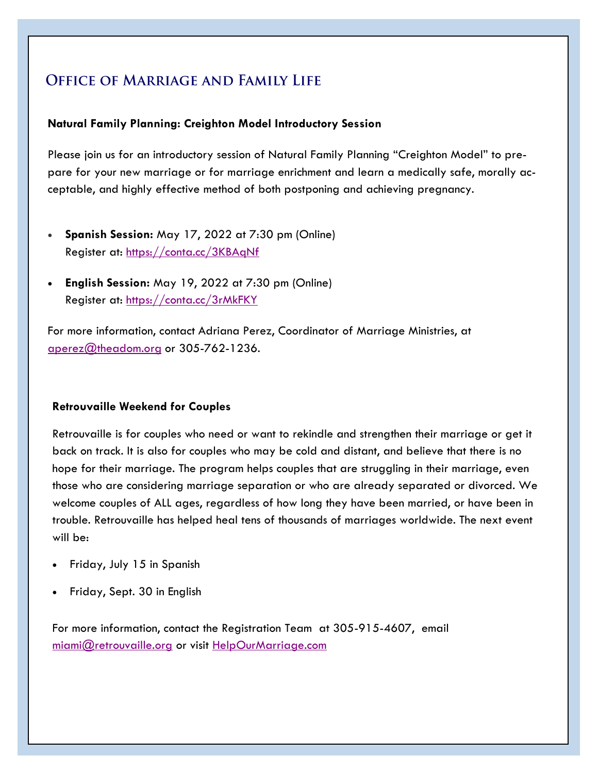# **OFFICE OF MARRIAGE AND FAMILY LIFE**

### **Natural Family Planning: Creighton Model Introductory Session**

Please join us for an introductory session of Natural Family Planning "Creighton Model" to prepare for your new marriage or for marriage enrichment and learn a medically safe, morally acceptable, and highly effective method of both postponing and achieving pregnancy.

- **Spanish Session:** May 17, 2022 at 7:30 pm (Online) Register at:<https://conta.cc/3KBAqNf>
- **English Session:** May 19, 2022 at 7:30 pm (Online) Register at:<https://conta.cc/3rMkFKY>

For more information, contact Adriana Perez, Coordinator of Marriage Ministries, at [aperez@theadom.org](mailto:aperez@theadom.org) or 305-762-1236.

### **Retrouvaille Weekend for Couples**

Retrouvaille is for couples who need or want to rekindle and strengthen their marriage or get it back on track. It is also for couples who may be cold and distant, and believe that there is no hope for their marriage. The program helps couples that are struggling in their marriage, even those who are considering marriage separation or who are already separated or divorced. We welcome couples of ALL ages, regardless of how long they have been married, or have been in trouble. Retrouvaille has helped heal tens of thousands of marriages worldwide. The next event will be:

- Friday, July 15 in Spanish
- Friday, Sept. 30 in English

For more information, contact the Registration Team at 305-915-4607, email [miami@retrouvaille.org](mailto:miami@retrouvaille.org) or visit [HelpOurMarriage.com](http://helpourmarriage.com/)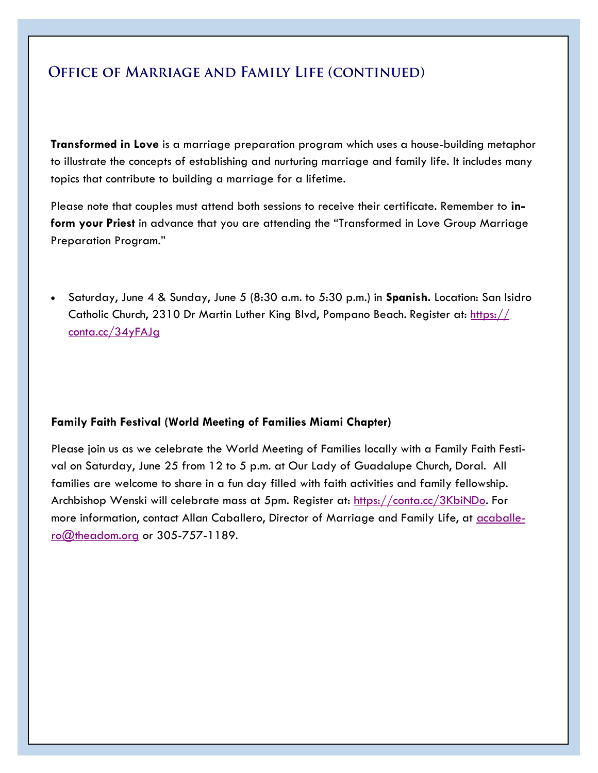### OFFICE OF MARRIAGE AND FAMILY LIFE (CONTINUED)

**Transformed in Love** is a marriage preparation program which uses a house-building metaphor to illustrate the concepts of establishing and nurturing marriage and family life. It includes many topics that contribute to building a marriage for a lifetime.

Please note that couples must attend both sessions to receive their certificate. Remember to **inform your Priest** in advance that you are attending the "Transformed in Love Group Marriage Preparation Program."

• Saturday, June 4 & Sunday, June 5 (8:30 a.m. to 5:30 p.m.) in **Spanish.** Location: San Isidro Catholic Church, 2310 Dr Martin Luther King Blvd, Pompano Beach. Register at: [https://](https://conta.cc/34yFAJg) [conta.cc/34yFAJg](https://conta.cc/34yFAJg)

### **Family Faith Festival (World Meeting of Families Miami Chapter)**

Please join us as we celebrate the World Meeting of Families locally with a Family Faith Festival on Saturday, June 25 from 12 to 5 p.m. at Our Lady of Guadalupe Church, Doral. All families are welcome to share in a fun day filled with faith activities and family fellowship. Archbishop Wenski will celebrate mass at 5pm. Register at: [https://conta.cc/3KbiNDo.](https://conta.cc/3KbiNDo) For more information, contact Allan Caballero, Director of Marriage and Family Life, at [acaballe](mailto:acaballero@theadom.org)[ro@theadom.org](mailto:acaballero@theadom.org) or 305-757-1189.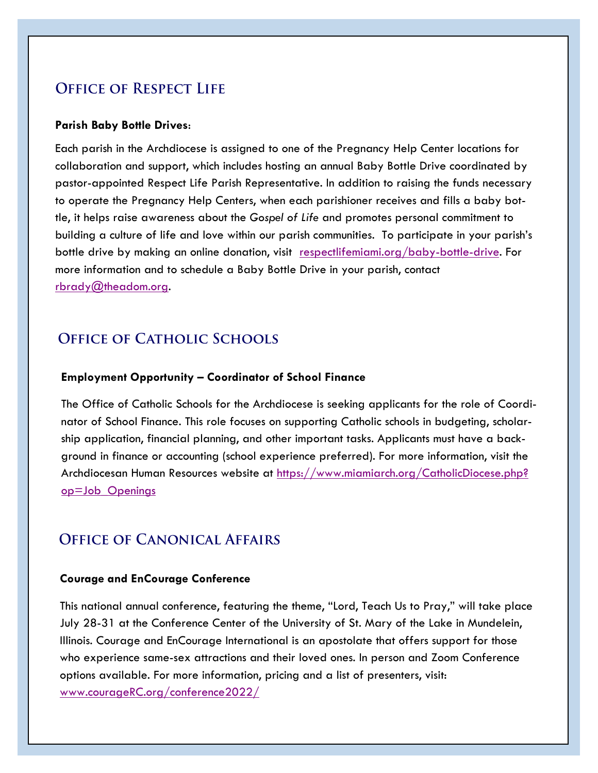### **OFFICE OF RESPECT LIFE**

#### **Parish Baby Bottle Drives**:

Each parish in the Archdiocese is assigned to one of the Pregnancy Help Center locations for collaboration and support, which includes hosting an annual Baby Bottle Drive coordinated by pastor-appointed Respect Life Parish Representative. In addition to raising the funds necessary to operate the Pregnancy Help Centers, when each parishioner receives and fills a baby bottle, it helps raise awareness about the *Gospel of Life* and promotes personal commitment to building a culture of life and love within our parish communities. To participate in your parish's bottle drive by making an online donation, visit [respectlifemiami.org/baby-bottle-drive.](https://respectlifemiami.org/baby-bottle-drive) For more information and to schedule a Baby Bottle Drive in your parish, contact [rbrady@theadom.org.](mailto:rbrady@theadom.org)

### **OFFICE OF CATHOLIC SCHOOLS**

#### **Employment Opportunity – Coordinator of School Finance**

The Office of Catholic Schools for the Archdiocese is seeking applicants for the role of Coordinator of School Finance. This role focuses on supporting Catholic schools in budgeting, scholarship application, financial planning, and other important tasks. Applicants must have a background in finance or accounting (school experience preferred). For more information, visit the Archdiocesan Human Resources website at [https://www.miamiarch.org/CatholicDiocese.php?](https://www.miamiarch.org/CatholicDiocese.php?op=Job_Openings) [op=Job\\_Openings](https://www.miamiarch.org/CatholicDiocese.php?op=Job_Openings)

### **OFFICE OF CANONICAL AFFAIRS**

#### **Courage and EnCourage Conference**

This national annual conference, featuring the theme, "Lord, Teach Us to Pray," will take place July 28-31 at the Conference Center of the University of St. Mary of the Lake in Mundelein, Illinois. Courage and EnCourage International is an apostolate that offers support for those who experience same-sex attractions and their loved ones. In person and Zoom Conference options available. For more information, pricing and a list of presenters, visit: [www.courageRC.org/conference2022/](https://couragerc.org/conference2022/)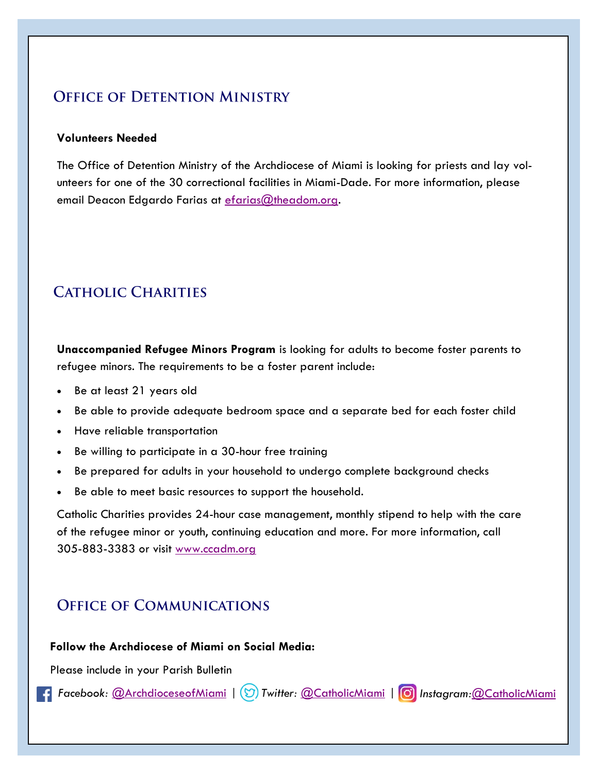### **OFFICE OF DETENTION MINISTRY**

#### **Volunteers Needed**

The Office of Detention Ministry of the Archdiocese of Miami is looking for priests and lay volunteers for one of the 30 correctional facilities in Miami-Dade. For more information, please email Deacon Edgardo Farias at efarias@theadom.org.

### **CATHOLIC CHARITIES**

**Unaccompanied Refugee Minors Program** is looking for adults to become foster parents to refugee minors. The requirements to be a foster parent include:

- Be at least 21 years old
- Be able to provide adequate bedroom space and a separate bed for each foster child
- Have reliable transportation
- Be willing to participate in a 30-hour free training
- Be prepared for adults in your household to undergo complete background checks
- Be able to meet basic resources to support the household.

Catholic Charities provides 24-hour case management, monthly stipend to help with the care of the refugee minor or youth, continuing education and more. For more information, call 305-883-3383 or visit [www.ccadm.org](http://www.ccadm.org) 

### **OFFICE OF COMMUNICATIONS**

### **Follow the Archdiocese of Miami on Social Media:**

Please include in your Parish Bulletin

*Facebook:* [@ArchdioceseofMiami](https://www.facebook.com/ARCHDIOCESEofMIAMI) | *Twitter:* [@CatholicMiami](https://twitter.com/CatholicMiami) | *Instagram:*[@CatholicMiami](https://www.instagram.com/catholicmiami/)